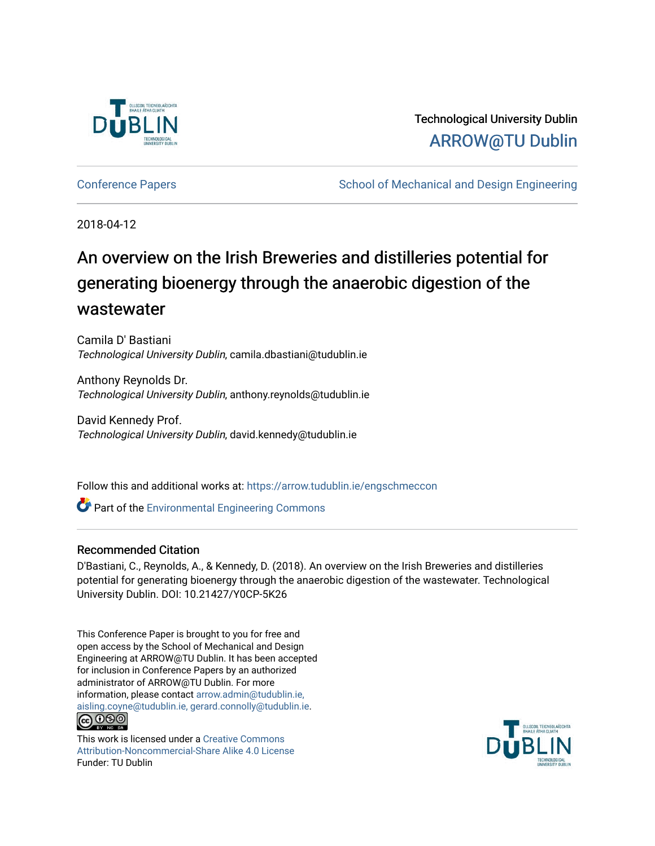

Technological University Dublin [ARROW@TU Dublin](https://arrow.tudublin.ie/) 

[Conference Papers](https://arrow.tudublin.ie/engschmeccon) **School of Mechanical and Design Engineering** 

2018-04-12

# An overview on the Irish Breweries and distilleries potential for generating bioenergy through the anaerobic digestion of the wastewater

Camila D' Bastiani Technological University Dublin, camila.dbastiani@tudublin.ie

Anthony Reynolds Dr. Technological University Dublin, anthony.reynolds@tudublin.ie

David Kennedy Prof. Technological University Dublin, david.kennedy@tudublin.ie

Follow this and additional works at: [https://arrow.tudublin.ie/engschmeccon](https://arrow.tudublin.ie/engschmeccon?utm_source=arrow.tudublin.ie%2Fengschmeccon%2F80&utm_medium=PDF&utm_campaign=PDFCoverPages) 

Part of the [Environmental Engineering Commons](http://network.bepress.com/hgg/discipline/254?utm_source=arrow.tudublin.ie%2Fengschmeccon%2F80&utm_medium=PDF&utm_campaign=PDFCoverPages)

#### Recommended Citation

D'Bastiani, C., Reynolds, A., & Kennedy, D. (2018). An overview on the Irish Breweries and distilleries potential for generating bioenergy through the anaerobic digestion of the wastewater. Technological University Dublin. DOI: 10.21427/Y0CP-5K26

This Conference Paper is brought to you for free and open access by the School of Mechanical and Design Engineering at ARROW@TU Dublin. It has been accepted for inclusion in Conference Papers by an authorized administrator of ARROW@TU Dublin. For more information, please contact [arrow.admin@tudublin.ie,](mailto:arrow.admin@tudublin.ie,%20aisling.coyne@tudublin.ie,%20gerard.connolly@tudublin.ie)  [aisling.coyne@tudublin.ie, gerard.connolly@tudublin.ie](mailto:arrow.admin@tudublin.ie,%20aisling.coyne@tudublin.ie,%20gerard.connolly@tudublin.ie). <u>@000</u>

This work is licensed under a [Creative Commons](http://creativecommons.org/licenses/by-nc-sa/4.0/) [Attribution-Noncommercial-Share Alike 4.0 License](http://creativecommons.org/licenses/by-nc-sa/4.0/) Funder: TU Dublin

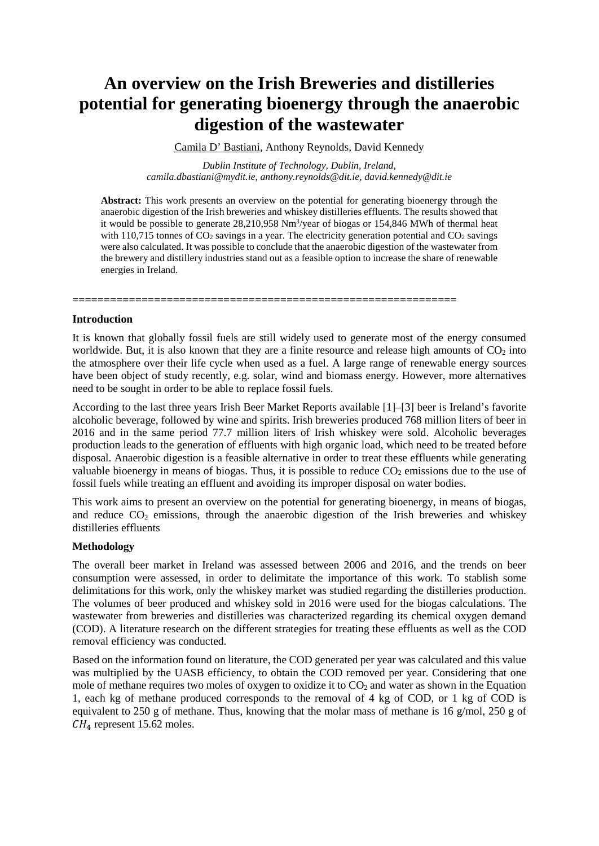## **An overview on the Irish Breweries and distilleries potential for generating bioenergy through the anaerobic digestion of the wastewater**

Camila D' Bastiani, Anthony Reynolds, David Kennedy

*Dublin Institute of Technology, Dublin, Ireland, camila.dbastiani@mydit.ie, anthony.reynolds@dit.ie, david.kennedy@dit.ie*

**Abstract:** This work presents an overview on the potential for generating bioenergy through the anaerobic digestion of the Irish breweries and whiskey distilleries effluents. The results showed that it would be possible to generate 28,210,958 Nm<sup>3</sup>/year of biogas or 154,846 MWh of thermal heat with 110,715 tonnes of  $CO<sub>2</sub>$  savings in a year. The electricity generation potential and  $CO<sub>2</sub>$  savings were also calculated. It was possible to conclude that the anaerobic digestion of the wastewater from the brewery and distillery industries stand out as a feasible option to increase the share of renewable energies in Ireland.

**Introduction**

It is known that globally fossil fuels are still widely used to generate most of the energy consumed worldwide. But, it is also known that they are a finite resource and release high amounts of  $CO<sub>2</sub>$  into the atmosphere over their life cycle when used as a fuel. A large range of renewable energy sources have been object of study recently, e.g. solar, wind and biomass energy. However, more alternatives need to be sought in order to be able to replace fossil fuels.

**=============================================================**

According to the last three years Irish Beer Market Reports available [1]–[3] beer is Ireland's favorite alcoholic beverage, followed by wine and spirits. Irish breweries produced 768 million liters of beer in 2016 and in the same period 77.7 million liters of Irish whiskey were sold. Alcoholic beverages production leads to the generation of effluents with high organic load, which need to be treated before disposal. Anaerobic digestion is a feasible alternative in order to treat these effluents while generating valuable bioenergy in means of biogas. Thus, it is possible to reduce  $CO<sub>2</sub>$  emissions due to the use of fossil fuels while treating an effluent and avoiding its improper disposal on water bodies.

This work aims to present an overview on the potential for generating bioenergy, in means of biogas, and reduce  $CO<sub>2</sub>$  emissions, through the anaerobic digestion of the Irish breweries and whiskey distilleries effluents

#### **Methodology**

The overall beer market in Ireland was assessed between 2006 and 2016, and the trends on beer consumption were assessed, in order to delimitate the importance of this work. To stablish some delimitations for this work, only the whiskey market was studied regarding the distilleries production. The volumes of beer produced and whiskey sold in 2016 were used for the biogas calculations. The wastewater from breweries and distilleries was characterized regarding its chemical oxygen demand (COD). A literature research on the different strategies for treating these effluents as well as the COD removal efficiency was conducted.

Based on the information found on literature, the COD generated per year was calculated and this value was multiplied by the UASB efficiency, to obtain the COD removed per year. Considering that one mole of methane requires two moles of oxygen to oxidize it to  $CO<sub>2</sub>$  and water as shown in the Equation 1, each kg of methane produced corresponds to the removal of 4 kg of COD, or 1 kg of COD is equivalent to 250 g of methane. Thus, knowing that the molar mass of methane is 16 g/mol, 250 g of  $CH<sub>4</sub>$  represent 15.62 moles.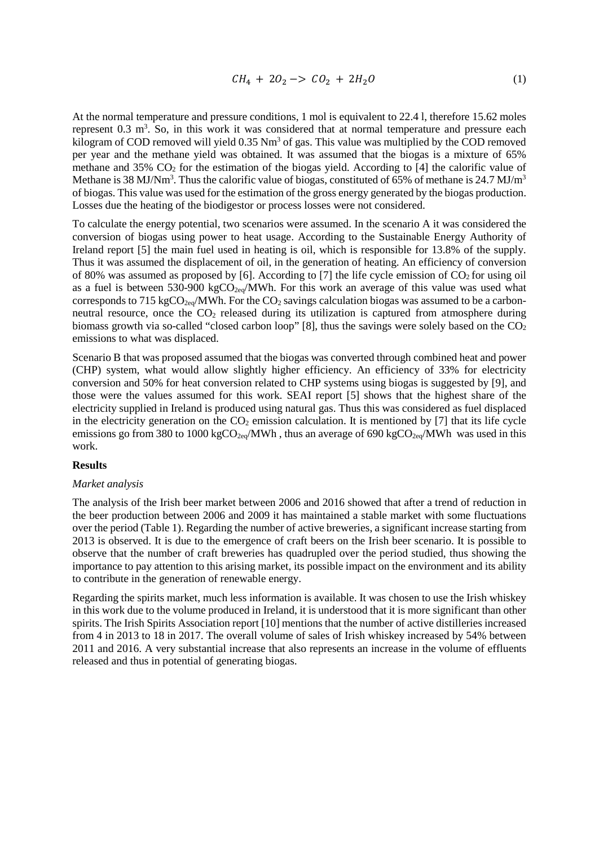$$
CH_4 + 2O_2 \to CO_2 + 2H_2O \tag{1}
$$

At the normal temperature and pressure conditions, 1 mol is equivalent to 22.4 l, therefore 15.62 moles represent  $0.3 \text{ m}^3$ . So, in this work it was considered that at normal temperature and pressure each kilogram of COD removed will yield 0.35 Nm<sup>3</sup> of gas. This value was multiplied by the COD removed per year and the methane yield was obtained. It was assumed that the biogas is a mixture of 65% methane and 35%  $CO<sub>2</sub>$  for the estimation of the biogas yield. According to [4] the calorific value of Methane is 38 MJ/Nm<sup>3</sup>. Thus the calorific value of biogas, constituted of 65% of methane is 24.7 MJ/m<sup>3</sup> of biogas. This value was used for the estimation of the gross energy generated by the biogas production. Losses due the heating of the biodigestor or process losses were not considered.

To calculate the energy potential, two scenarios were assumed. In the scenario A it was considered the conversion of biogas using power to heat usage. According to the Sustainable Energy Authority of Ireland report [5] the main fuel used in heating is oil, which is responsible for 13.8% of the supply. Thus it was assumed the displacement of oil, in the generation of heating. An efficiency of conversion of 80% was assumed as proposed by [6]. According to [7] the life cycle emission of  $CO<sub>2</sub>$  for using oil as a fuel is between 530-900 kg $CO<sub>2eq</sub>/MWh$ . For this work an average of this value was used what corresponds to 715 kgCO<sub>2eq</sub>/MWh. For the CO<sub>2</sub> savings calculation biogas was assumed to be a carbonneutral resource, once the  $CO<sub>2</sub>$  released during its utilization is captured from atmosphere during biomass growth via so-called "closed carbon loop" [8], thus the savings were solely based on the  $CO<sub>2</sub>$ emissions to what was displaced.

Scenario B that was proposed assumed that the biogas was converted through combined heat and power (CHP) system, what would allow slightly higher efficiency. An efficiency of 33% for electricity conversion and 50% for heat conversion related to CHP systems using biogas is suggested by [9], and those were the values assumed for this work. SEAI report [5] shows that the highest share of the electricity supplied in Ireland is produced using natural gas. Thus this was considered as fuel displaced in the electricity generation on the  $CO<sub>2</sub>$  emission calculation. It is mentioned by [7] that its life cycle emissions go from 380 to 1000 kgCO<sub>2eq</sub>/MWh, thus an average of 690 kgCO<sub>2eq</sub>/MWh was used in this work.

#### **Results**

#### *Market analysis*

The analysis of the Irish beer market between 2006 and 2016 showed that after a trend of reduction in the beer production between 2006 and 2009 it has maintained a stable market with some fluctuations over the period (Table 1). Regarding the number of active breweries, a significant increase starting from 2013 is observed. It is due to the emergence of craft beers on the Irish beer scenario. It is possible to observe that the number of craft breweries has quadrupled over the period studied, thus showing the importance to pay attention to this arising market, its possible impact on the environment and its ability to contribute in the generation of renewable energy.

Regarding the spirits market, much less information is available. It was chosen to use the Irish whiskey in this work due to the volume produced in Ireland, it is understood that it is more significant than other spirits. The Irish Spirits Association report [10] mentions that the number of active distilleries increased from 4 in 2013 to 18 in 2017. The overall volume of sales of Irish whiskey increased by 54% between 2011 and 2016. A very substantial increase that also represents an increase in the volume of effluents released and thus in potential of generating biogas.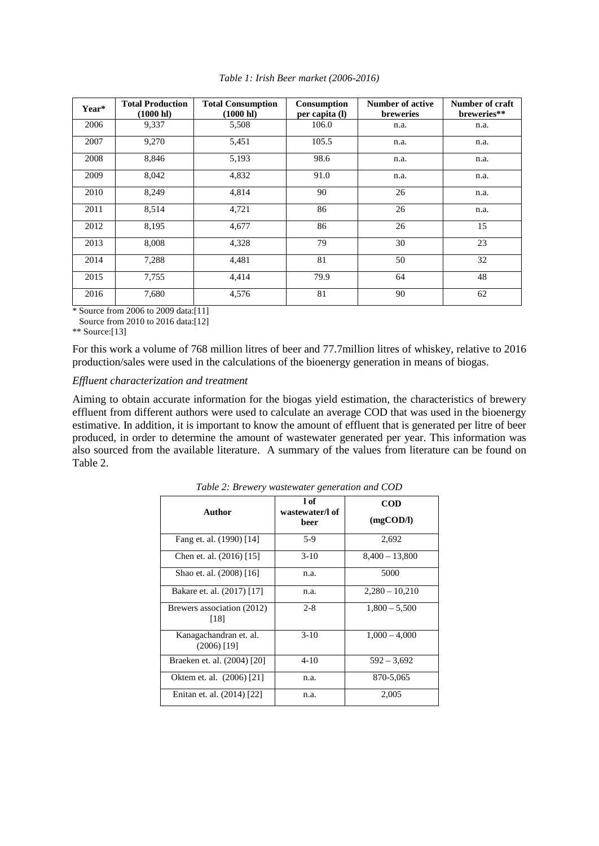| Year* | <b>Total Production</b><br>$(1000 \text{ hl})$ | <b>Total Consumption</b><br>$(1000 \text{ hl})$ | Consumption<br>per capita (l) | <b>Number of active</b><br><b>breweries</b> | Number of craft<br>breweries** |
|-------|------------------------------------------------|-------------------------------------------------|-------------------------------|---------------------------------------------|--------------------------------|
| 2006  | 9,337                                          | 5,508                                           | 106.0                         | n.a.                                        | n.a.                           |
| 2007  | 9,270                                          | 5,451                                           | 105.5                         | n.a.                                        | n.a.                           |
| 2008  | 8,846                                          | 5,193                                           | 98.6                          | n.a.                                        | n.a.                           |
| 2009  | 8,042                                          | 4,832                                           | 91.0                          | n.a.                                        | n.a.                           |
| 2010  | 8,249                                          | 4,814                                           | 90                            | 26                                          | n.a.                           |
| 2011  | 8,514                                          | 4,721                                           | 86                            | 26                                          | n.a.                           |
| 2012  | 8,195                                          | 4,677                                           | 86                            | 26                                          | 15                             |
| 2013  | 8.008                                          | 4,328                                           | 79                            | 30                                          | 23                             |
| 2014  | 7,288                                          | 4,481                                           | 81                            | 50                                          | 32                             |
| 2015  | 7,755                                          | 4,414                                           | 79.9                          | 64                                          | 48                             |
| 2016  | 7,680                                          | 4,576                                           | 81                            | 90                                          | 62                             |

*Table 1: Irish Beer market (2006-2016)*

\* Source from 2006 to 2009 data:[11]

Source from 2010 to 2016 data:[12]

\*\* Source:[13]

For this work a volume of 768 million litres of beer and 77.7million litres of whiskey, relative to 2016 production/sales were used in the calculations of the bioenergy generation in means of biogas.

#### *Effluent characterization and treatment*

Aiming to obtain accurate information for the biogas yield estimation, the characteristics of brewery effluent from different authors were used to calculate an average COD that was used in the bioenergy estimative. In addition, it is important to know the amount of effluent that is generated per litre of beer produced, in order to determine the amount of wastewater generated per year. This information was also sourced from the available literature. A summary of the values from literature can be found on Table 2.

| Author                                  | 1 of<br>wastewater/l of<br>beer | <b>COD</b><br>$(mg\text{COD/l})$ |
|-----------------------------------------|---------------------------------|----------------------------------|
| Fang et. al. (1990) [14]                | 5-9                             | 2,692                            |
| Chen et. al. (2016) [15]                | $3-10$                          | $8,400 - 13,800$                 |
| Shao et. al. (2008) [16]                | n.a.                            | 5000                             |
| Bakare et. al. (2017) [17]              | n.a.                            | $2.280 - 10.210$                 |
| Brewers association (2012)<br>[18]      | $2 - 8$                         | $1,800 - 5,500$                  |
| Kanagachandran et. al.<br>$(2006)$ [19] | $3-10$                          | $1,000 - 4,000$                  |
| Braeken et. al. (2004) [20]             | $4 - 10$                        | $592 - 3,692$                    |
| Oktem et. al. (2006) [21]               | n.a.                            | 870-5,065                        |
| Enitan et. al. (2014) [22]              | n.a.                            | 2,005                            |

*Table 2: Brewery wastewater generation and COD*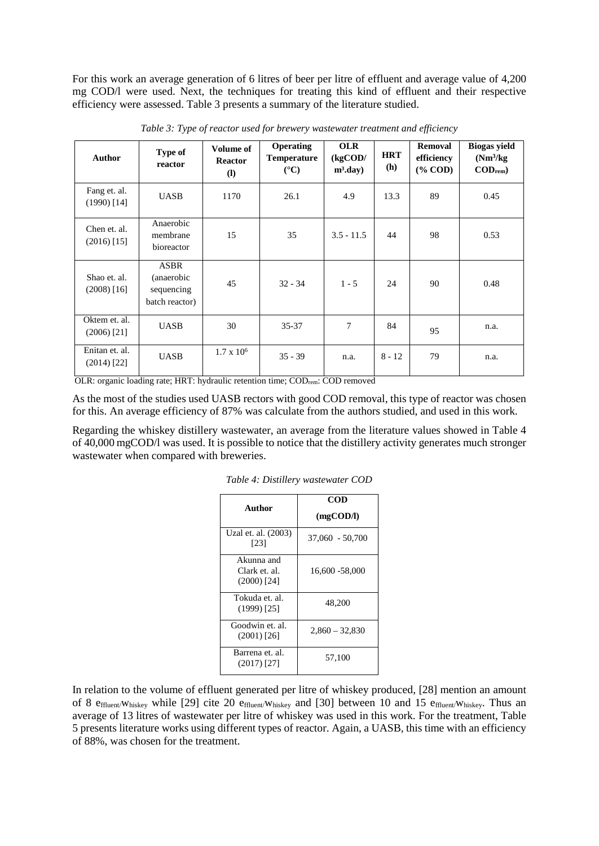For this work an average generation of 6 litres of beer per litre of effluent and average value of 4,200 mg COD/l were used. Next, the techniques for treating this kind of effluent and their respective efficiency were assessed. Table 3 presents a summary of the literature studied.

| <b>Author</b>                   | Type of<br>reactor                                        | <b>Volume of</b><br><b>Reactor</b><br>$\left( \mathbf{l} \right)$ | <b>Operating</b><br><b>Temperature</b><br>$({}^{\circ}C)$ | <b>OLR</b><br>(kgCOD/<br>$m^3$ .day) | <b>HRT</b><br>(h) | Removal<br>efficiency<br>$(\%$ COD) | <b>Biogas yield</b><br>(Nm <sup>3</sup> /kg)<br>$\mathbf{COD}_{\mathbf{rem}}$ |
|---------------------------------|-----------------------------------------------------------|-------------------------------------------------------------------|-----------------------------------------------------------|--------------------------------------|-------------------|-------------------------------------|-------------------------------------------------------------------------------|
| Fang et. al.<br>$(1990)$ [14]   | <b>UASB</b>                                               | 1170                                                              | 26.1                                                      | 4.9                                  | 13.3              | 89                                  | 0.45                                                                          |
| Chen et. al.<br>$(2016)$ [15]   | Anaerobic<br>membrane<br>bioreactor                       | 15                                                                | 35                                                        | $3.5 - 11.5$                         | 44                | 98                                  | 0.53                                                                          |
| Shao et. al.<br>$(2008)$ [16]   | <b>ASBR</b><br>(anaerobic<br>sequencing<br>batch reactor) | 45                                                                | $32 - 34$                                                 | $1 - 5$                              | 24                | 90                                  | 0.48                                                                          |
| Oktem et. al.<br>$(2006)$ [21]  | <b>UASB</b>                                               | 30                                                                | $35 - 37$                                                 | 7                                    | 84                | 95                                  | n.a.                                                                          |
| Enitan et. al.<br>$(2014)$ [22] | <b>UASB</b>                                               | $1.7 \times 10^6$                                                 | $35 - 39$                                                 | n.a.                                 | $8 - 12$          | 79                                  | n.a.                                                                          |

*Table 3: Type of reactor used for brewery wastewater treatment and efficiency*

OLR: organic loading rate; HRT: hydraulic retention time; CODrem: COD removed

As the most of the studies used UASB rectors with good COD removal, this type of reactor was chosen for this. An average efficiency of 87% was calculate from the authors studied, and used in this work.

Regarding the whiskey distillery wastewater, an average from the literature values showed in Table 4 of 40,000 mgCOD/l was used. It is possible to notice that the distillery activity generates much stronger wastewater when compared with breweries.

| Author                                       | COD<br>$(mg\text{COD/l})$ |  |  |
|----------------------------------------------|---------------------------|--|--|
| Uzal et. al. (2003)<br>[23]                  | $37,060 - 50,700$         |  |  |
| Akunna and<br>Clark et. al.<br>$(2000)$ [24] | 16,600 -58,000            |  |  |
| Tokuda et. al.<br>$(1999)$ [25]              | 48,200                    |  |  |
| Goodwin et. al.<br>$(2001)$ [26]             | $2,860 - 32,830$          |  |  |
| Barrena et. al.<br>$(2017)$ [27]             | 57,100                    |  |  |

*Table 4: Distillery wastewater COD*

In relation to the volume of effluent generated per litre of whiskey produced, [28] mention an amount of 8 effluent/Whiskey while [29] cite 20 effluent/Whiskey and [30] between 10 and 15 effluent/Whiskey. Thus an average of 13 litres of wastewater per litre of whiskey was used in this work. For the treatment, Table 5 presents literature works using different types of reactor. Again, a UASB, this time with an efficiency of 88%, was chosen for the treatment.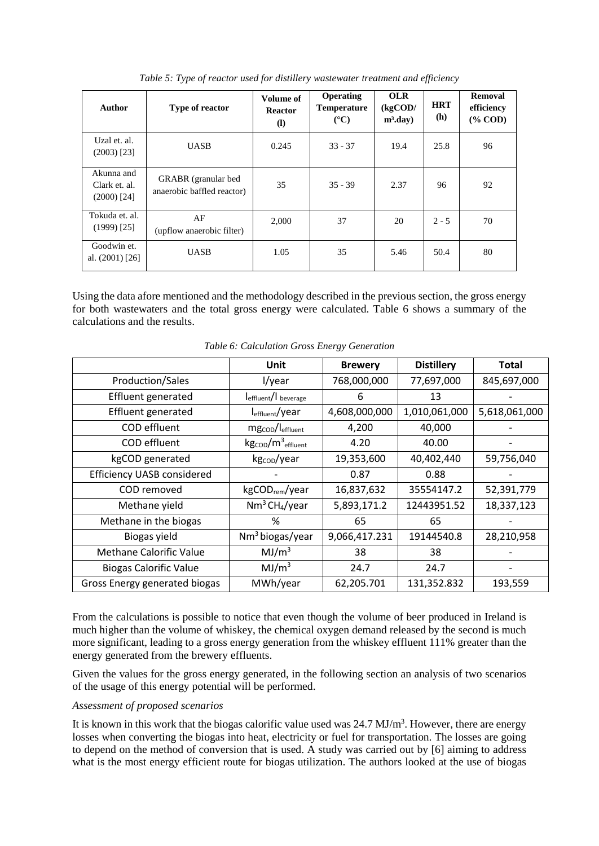| <b>Author</b>                                | <b>Type of reactor</b>                            | Volume of<br><b>Reactor</b><br>$\mathbf{I}$ | <b>Operating</b><br><b>Temperature</b><br>$(^{\circ}C)$ | <b>OLR</b><br>(kgCOD/<br>$m^3$ .day) | <b>HRT</b><br>(h) | <b>Removal</b><br>efficiency<br>$(\%$ COD) |
|----------------------------------------------|---------------------------------------------------|---------------------------------------------|---------------------------------------------------------|--------------------------------------|-------------------|--------------------------------------------|
| Uzal et. al.<br>$(2003)$ [23]                | <b>UASB</b>                                       | 0.245                                       | $33 - 37$                                               | 19.4                                 | 25.8              | 96                                         |
| Akunna and<br>Clark et. al.<br>$(2000)$ [24] | GRABR (granular bed<br>anaerobic baffled reactor) | 35                                          | $35 - 39$                                               | 2.37                                 | 96                | 92                                         |
| Tokuda et. al.<br>$(1999)$ [25]              | AF<br>(upflow anaerobic filter)                   | 2,000                                       | 37                                                      | 20                                   | $2 - 5$           | 70                                         |
| Goodwin et.<br>al. $(2001)$ [26]             | <b>UASB</b>                                       | 1.05                                        | 35                                                      | 5.46                                 | 50.4              | 80                                         |

*Table 5: Type of reactor used for distillery wastewater treatment and efficiency*

Using the data afore mentioned and the methodology described in the previous section, the gross energy for both wastewaters and the total gross energy were calculated. Table 6 shows a summary of the calculations and the results.

|                                   | <b>Unit</b>                                             | <b>Brewery</b> | <b>Distillery</b> | <b>Total</b>  |
|-----------------------------------|---------------------------------------------------------|----------------|-------------------|---------------|
| Production/Sales                  | l/year                                                  | 768,000,000    | 77,697,000        | 845,697,000   |
| Effluent generated                | leffluent/I beverage                                    | 6              | 13                |               |
| Effluent generated                | l <sub>effluent</sub> /year                             | 4,608,000,000  | 1,010,061,000     | 5,618,061,000 |
| COD effluent                      | mg <sub>cop</sub> /l <sub>effluent</sub>                | 4,200          | 40,000            |               |
| COD effluent                      | $\text{kg}_{\text{COD}}/\text{m}^3$ <sub>effluent</sub> | 4.20           | 40.00             |               |
| kgCOD generated                   | kg <sub>cop</sub> /year                                 | 19,353,600     | 40,402,440        | 59,756,040    |
| <b>Efficiency UASB considered</b> |                                                         | 0.87           | 0.88              |               |
| COD removed                       | kgCOD <sub>rem</sub> /year                              | 16,837,632     | 35554147.2        | 52,391,779    |
| Methane yield                     | $Nm^3$ CH <sub>4</sub> /year                            | 5,893,171.2    | 12443951.52       | 18,337,123    |
| Methane in the biogas             | %                                                       | 65             | 65                |               |
| Biogas yield                      | Nm <sup>3</sup> biogas/year                             | 9,066,417.231  | 19144540.8        | 28,210,958    |
| Methane Calorific Value           | MJ/m <sup>3</sup>                                       | 38             | 38                |               |
| <b>Biogas Calorific Value</b>     | MJ/m <sup>3</sup>                                       | 24.7           | 24.7              |               |
| Gross Energy generated biogas     | MWh/year                                                | 62,205.701     | 131,352.832       | 193,559       |

*Table 6: Calculation Gross Energy Generation*

From the calculations is possible to notice that even though the volume of beer produced in Ireland is much higher than the volume of whiskey, the chemical oxygen demand released by the second is much more significant, leading to a gross energy generation from the whiskey effluent 111% greater than the energy generated from the brewery effluents.

Given the values for the gross energy generated, in the following section an analysis of two scenarios of the usage of this energy potential will be performed.

#### *Assessment of proposed scenarios*

It is known in this work that the biogas calorific value used was 24.7 MJ/m<sup>3</sup>. However, there are energy losses when converting the biogas into heat, electricity or fuel for transportation. The losses are going to depend on the method of conversion that is used. A study was carried out by [6] aiming to address what is the most energy efficient route for biogas utilization. The authors looked at the use of biogas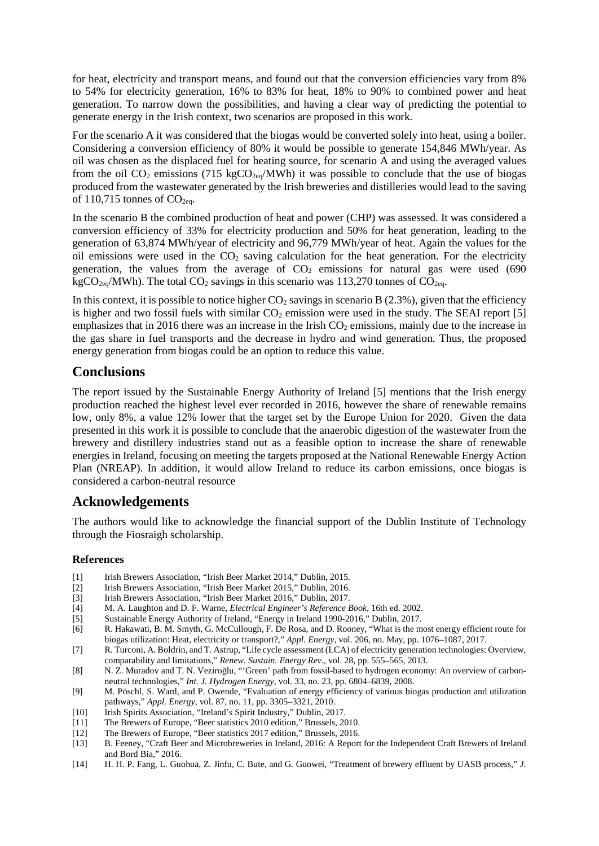for heat, electricity and transport means, and found out that the conversion efficiencies vary from 8% to 54% for electricity generation, 16% to 83% for heat, 18% to 90% to combined power and heat generation. To narrow down the possibilities, and having a clear way of predicting the potential to generate energy in the Irish context, two scenarios are proposed in this work.

For the scenario A it was considered that the biogas would be converted solely into heat, using a boiler. Considering a conversion efficiency of 80% it would be possible to generate 154,846 MWh/year. As oil was chosen as the displaced fuel for heating source, for scenario A and using the averaged values from the oil  $CO_2$  emissions (715 kg $CO_{2eq}$ /MWh) it was possible to conclude that the use of biogas produced from the wastewater generated by the Irish breweries and distilleries would lead to the saving of 110,715 tonnes of  $CO<sub>2ea</sub>$ .

In the scenario B the combined production of heat and power (CHP) was assessed. It was considered a conversion efficiency of 33% for electricity production and 50% for heat generation, leading to the generation of 63,874 MWh/year of electricity and 96,779 MWh/year of heat. Again the values for the oil emissions were used in the  $CO<sub>2</sub>$  saving calculation for the heat generation. For the electricity generation, the values from the average of  $CO<sub>2</sub>$  emissions for natural gas were used (690) kgCO<sub>2eq</sub>/MWh). The total CO<sub>2</sub> savings in this scenario was 113,270 tonnes of CO<sub>2eq</sub>.

In this context, it is possible to notice higher  $CO_2$  savings in scenario B (2.3%), given that the efficiency is higher and two fossil fuels with similar  $CO<sub>2</sub>$  emission were used in the study. The SEAI report [5] emphasizes that in 2016 there was an increase in the Irish  $CO<sub>2</sub>$  emissions, mainly due to the increase in the gas share in fuel transports and the decrease in hydro and wind generation. Thus, the proposed energy generation from biogas could be an option to reduce this value.

### **Conclusions**

The report issued by the Sustainable Energy Authority of Ireland [5] mentions that the Irish energy production reached the highest level ever recorded in 2016, however the share of renewable remains low, only 8%, a value 12% lower that the target set by the Europe Union for 2020. Given the data presented in this work it is possible to conclude that the anaerobic digestion of the wastewater from the brewery and distillery industries stand out as a feasible option to increase the share of renewable energies in Ireland, focusing on meeting the targets proposed at the National Renewable Energy Action Plan (NREAP). In addition, it would allow Ireland to reduce its carbon emissions, once biogas is considered a carbon-neutral resource

## **Acknowledgements**

The authors would like to acknowledge the financial support of the Dublin Institute of Technology through the Fiosraigh scholarship.

#### **References**

- [1] Irish Brewers Association, "Irish Beer Market 2014," Dublin, 2015.
- [2] Irish Brewers Association, "Irish Beer Market 2015," Dublin, 2016.
- [3] Irish Brewers Association, "Irish Beer Market 2016," Dublin, 2017.
- [4] M. A. Laughton and D. F. Warne, *Electrical Engineer's Reference Book*, 16th ed. 2002.
- [5] Sustainable Energy Authority of Ireland, "Energy in Ireland 1990-2016," Dublin, 2017.
- [6] R. Hakawati, B. M. Smyth, G. McCullough, F. De Rosa, and D. Rooney, "What is the most energy efficient route for biogas utilization: Heat, electricity or transport?," *Appl. Energy*, vol. 206, no. May, pp. 1076–1087, 2017.
- [7] R. Turconi, A. Boldrin, and T. Astrup, "Life cycle assessment (LCA) of electricity generation technologies: Overview, comparability and limitations," *Renew. Sustain. Energy Rev.*, vol. 28, pp. 555–565, 2013.
- [8] N. Z. Muradov and T. N. Veziroğlu, "'Green' path from fossil-based to hydrogen economy: An overview of carbonneutral technologies," *Int. J. Hydrogen Energy*, vol. 33, no. 23, pp. 6804–6839, 2008.
- [9] M. Pöschl, S. Ward, and P. Owende, "Evaluation of energy efficiency of various biogas production and utilization pathways," *Appl. Energy*, vol. 87, no. 11, pp. 3305–3321, 2010.
- [10] Irish Spirits Association, "Ireland's Spirit Industry," Dublin, 2017.
- The Brewers of Europe, "Beer statistics 2010 edition," Brussels, 2010.
- [12] The Brewers of Europe, "Beer statistics 2017 edition," Brussels, 2016.
- [13] B. Feeney, "Craft Beer and Microbreweries in Ireland, 2016: A Report for the Independent Craft Brewers of Ireland and Bord Bia," 2016.
- [14] H. H. P. Fang, L. Guohua, Z. Jinfu, C. Bute, and G. Guowei, "Treatment of brewery effluent by UASB process," *J.*